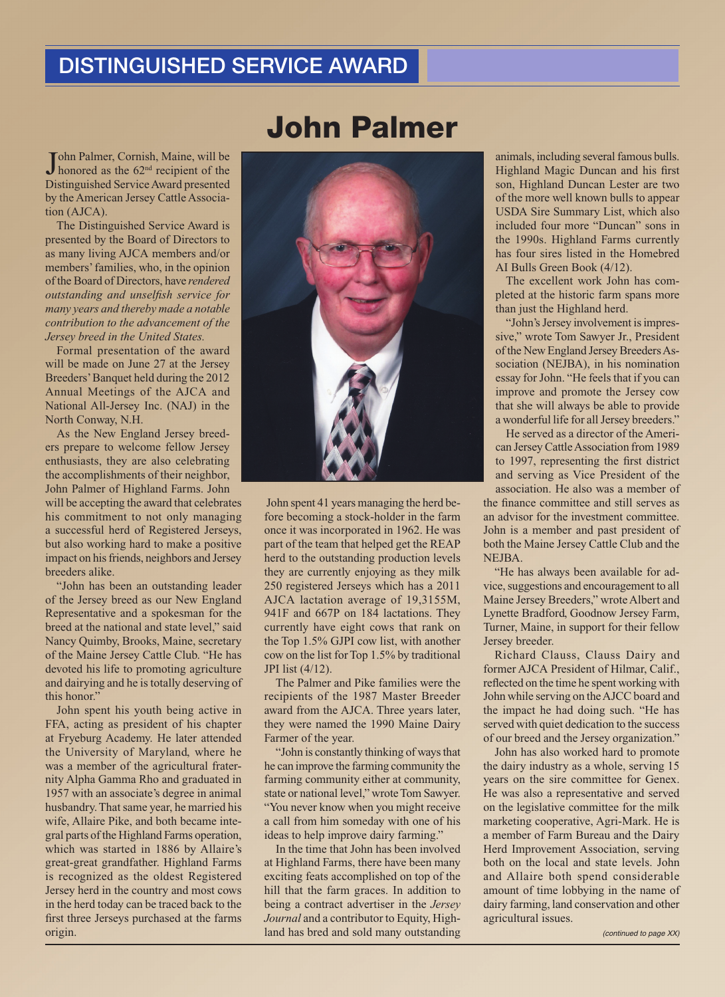## DISTINGUISHED SERVICE AWARD

John Palmer, Cornish, Maine, will be<br>Ihonored as the 62<sup>nd</sup> recipient of the honored as the 62<sup>nd</sup> recipient of the Distinguished Service Award presented by the American Jersey Cattle Association (AJCA).

The Distinguished Service Award is presented by the Board of Directors to as many living AJCA members and/or members' families, who, in the opinion of the Board of Directors, have *rendered outstanding and unselfish service for many years and thereby made a notable contribution to the advancement of the Jersey breed in the United States.*

Formal presentation of the award will be made on June 27 at the Jersey Breeders' Banquet held during the 2012 Annual Meetings of the AJCA and National All-Jersey Inc. (NAJ) in the North Conway, N.H.

As the New England Jersey breeders prepare to welcome fellow Jersey enthusiasts, they are also celebrating the accomplishments of their neighbor, John Palmer of Highland Farms. John will be accepting the award that celebrates his commitment to not only managing a successful herd of Registered Jerseys, but also working hard to make a positive impact on his friends, neighbors and Jersey breeders alike.

"John has been an outstanding leader of the Jersey breed as our New England Representative and a spokesman for the breed at the national and state level," said Nancy Quimby, Brooks, Maine, secretary of the Maine Jersey Cattle Club. "He has devoted his life to promoting agriculture and dairying and he is totally deserving of this honor."

John spent his youth being active in FFA, acting as president of his chapter at Fryeburg Academy. He later attended the University of Maryland, where he was a member of the agricultural fraternity Alpha Gamma Rho and graduated in 1957 with an associate's degree in animal husbandry. That same year, he married his wife, Allaire Pike, and both became integral parts of the Highland Farms operation, which was started in 1886 by Allaire's great-great grandfather. Highland Farms is recognized as the oldest Registered Jersey herd in the country and most cows in the herd today can be traced back to the first three Jerseys purchased at the farms origin.

## John Palmer



 John spent 41 years managing the herd before becoming a stock-holder in the farm once it was incorporated in 1962. He was part of the team that helped get the REAP herd to the outstanding production levels they are currently enjoying as they milk 250 registered Jerseys which has a 2011 AJCA lactation average of 19,3155M, 941F and 667P on 184 lactations. They currently have eight cows that rank on the Top 1.5% GJPI cow list, with another cow on the list for Top 1.5% by traditional JPI list (4/12).

The Palmer and Pike families were the recipients of the 1987 Master Breeder award from the AJCA. Three years later, they were named the 1990 Maine Dairy Farmer of the year.

"John is constantly thinking of ways that he can improve the farming community the farming community either at community, state or national level," wrote Tom Sawyer. "You never know when you might receive a call from him someday with one of his ideas to help improve dairy farming."

In the time that John has been involved at Highland Farms, there have been many exciting feats accomplished on top of the hill that the farm graces. In addition to being a contract advertiser in the *Jersey Journal* and a contributor to Equity, Highland has bred and sold many outstanding

animals, including several famous bulls. Highland Magic Duncan and his first son, Highland Duncan Lester are two of the more well known bulls to appear USDA Sire Summary List, which also included four more "Duncan" sons in the 1990s. Highland Farms currently has four sires listed in the Homebred AI Bulls Green Book (4/12).

The excellent work John has completed at the historic farm spans more than just the Highland herd.

"John's Jersey involvement is impressive," wrote Tom Sawyer Jr., President of the New England Jersey Breeders Association (NEJBA), in his nomination essay for John. "He feels that if you can improve and promote the Jersey cow that she will always be able to provide a wonderful life for all Jersey breeders."

He served as a director of the American Jersey Cattle Association from 1989 to 1997, representing the first district and serving as Vice President of the association. He also was a member of the finance committee and still serves as an advisor for the investment committee. John is a member and past president of both the Maine Jersey Cattle Club and the NEJBA.

"He has always been available for advice, suggestions and encouragement to all Maine Jersey Breeders," wrote Albert and Lynette Bradford, Goodnow Jersey Farm, Turner, Maine, in support for their fellow Jersey breeder.

Richard Clauss, Clauss Dairy and former AJCA President of Hilmar, Calif., reflected on the time he spent working with John while serving on the AJCC board and the impact he had doing such. "He has served with quiet dedication to the success of our breed and the Jersey organization."

John has also worked hard to promote the dairy industry as a whole, serving 15 years on the sire committee for Genex. He was also a representative and served on the legislative committee for the milk marketing cooperative, Agri-Mark. He is a member of Farm Bureau and the Dairy Herd Improvement Association, serving both on the local and state levels. John and Allaire both spend considerable amount of time lobbying in the name of dairy farming, land conservation and other agricultural issues.